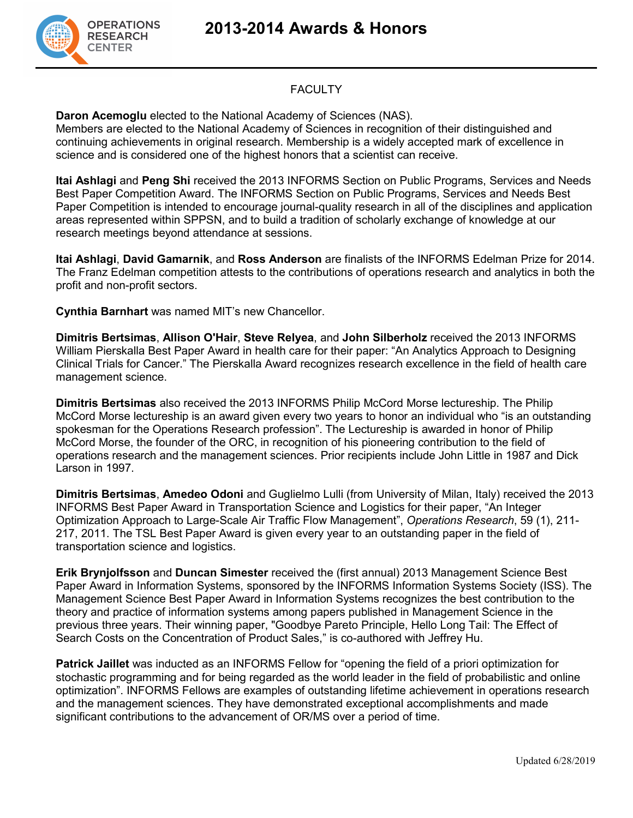**2013-2014 Awards & Honors**



### **FACULTY**

**Daron Acemoglu** elected to the National Academy of Sciences (NAS).

Members are elected to the National Academy of Sciences in recognition of their distinguished and continuing achievements in original research. Membership is a widely accepted mark of excellence in science and is considered one of the highest honors that a scientist can receive.

**Itai Ashlagi** and **Peng Shi** received the 2013 INFORMS Section on Public Programs, Services and Needs Best Paper Competition Award. The INFORMS Section on Public Programs, Services and Needs Best Paper Competition is intended to encourage journal-quality research in all of the disciplines and application areas represented within SPPSN, and to build a tradition of scholarly exchange of knowledge at our research meetings beyond attendance at sessions.

**Itai Ashlagi**, **David Gamarnik**, and **Ross Anderson** are finalists of the INFORMS Edelman Prize for 2014. The Franz Edelman competition attests to the contributions of operations research and analytics in both the profit and non-profit sectors.

**Cynthia Barnhart** was named MIT's new Chancellor.

**Dimitris Bertsimas**, **Allison O'Hair**, **Steve Relyea**, and **John Silberholz** received the 2013 INFORMS William Pierskalla Best Paper Award in health care for their paper: "An Analytics Approach to Designing Clinical Trials for Cancer." The Pierskalla Award recognizes research excellence in the field of health care management science.

**Dimitris Bertsimas** also received the 2013 INFORMS Philip McCord Morse lectureship. The Philip McCord Morse lectureship is an award given every two years to honor an individual who "is an outstanding spokesman for the Operations Research profession". The Lectureship is awarded in honor of Philip McCord Morse, the founder of the ORC, in recognition of his pioneering contribution to the field of operations research and the management sciences. Prior recipients include John Little in 1987 and Dick Larson in 1997.

**Dimitris Bertsimas**, **Amedeo Odoni** and Guglielmo Lulli (from University of Milan, Italy) received the 2013 INFORMS Best Paper Award in Transportation Science and Logistics for their paper, "An Integer Optimization Approach to Large-Scale Air Traffic Flow Management", *Operations Research*, 59 (1), 211- 217, 2011. The TSL Best Paper Award is given every year to an outstanding paper in the field of transportation science and logistics.

**Erik Brynjolfsson** and **Duncan Simester** received the (first annual) 2013 Management Science Best Paper Award in Information Systems, sponsored by the INFORMS Information Systems Society (ISS). The Management Science Best Paper Award in Information Systems recognizes the best contribution to the theory and practice of information systems among papers published in Management Science in the previous three years. Their winning paper, "Goodbye Pareto Principle, Hello Long Tail: The Effect of Search Costs on the Concentration of Product Sales," is co-authored with Jeffrey Hu.

**Patrick Jaillet** was inducted as an INFORMS Fellow for "opening the field of a priori optimization for stochastic programming and for being regarded as the world leader in the field of probabilistic and online optimization". INFORMS Fellows are examples of outstanding lifetime achievement in operations research and the management sciences. They have demonstrated exceptional accomplishments and made significant contributions to the advancement of OR/MS over a period of time.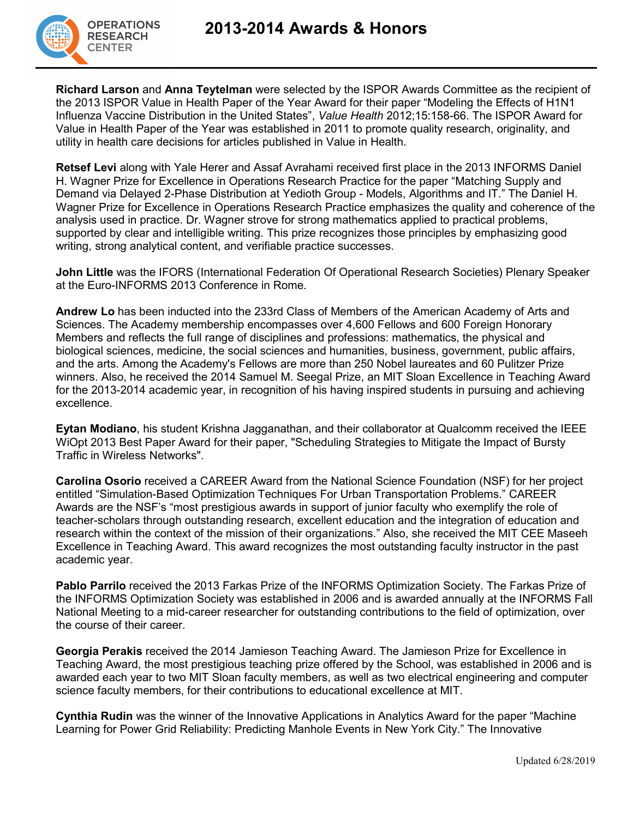

**Richard Larson** and **Anna Teytelman** were selected by the ISPOR Awards Committee as the recipient of the 2013 ISPOR Value in Health Paper of the Year Award for their paper "Modeling the Effects of H1N1 Influenza Vaccine Distribution in the United States", *Value Health* 2012;15:158-66. The ISPOR Award for Value in Health Paper of the Year was established in 2011 to promote quality research, originality, and utility in health care decisions for articles published in Value in Health.

**Retsef Levi** along with Yale Herer and Assaf Avrahami received first place in the 2013 INFORMS Daniel H. Wagner Prize for Excellence in Operations Research Practice for the paper "Matching Supply and Demand via Delayed 2-Phase Distribution at Yedioth Group - Models, Algorithms and IT." The Daniel H. Wagner Prize for Excellence in Operations Research Practice emphasizes the quality and coherence of the analysis used in practice. Dr. Wagner strove for strong mathematics applied to practical problems, supported by clear and intelligible writing. This prize recognizes those principles by emphasizing good writing, strong analytical content, and verifiable practice successes.

**John Little** was the IFORS (International Federation Of Operational Research Societies) Plenary Speaker at the Euro-INFORMS 2013 Conference in Rome.

**Andrew Lo** has been inducted into the 233rd Class of Members of the American Academy of Arts and Sciences. The Academy membership encompasses over 4,600 Fellows and 600 Foreign Honorary Members and reflects the full range of disciplines and professions: mathematics, the physical and biological sciences, medicine, the social sciences and humanities, business, government, public affairs, and the arts. Among the Academy's Fellows are more than 250 Nobel laureates and 60 Pulitzer Prize winners. Also, he received the 2014 Samuel M. Seegal Prize, an MIT Sloan Excellence in Teaching Award for the 2013-2014 academic year, in recognition of his having inspired students in pursuing and achieving excellence.

**Eytan Modiano**, his student Krishna Jagganathan, and their collaborator at Qualcomm received the IEEE WiOpt 2013 Best Paper Award for their paper, "Scheduling Strategies to Mitigate the Impact of Bursty Traffic in Wireless Networks".

**Carolina Osorio** received a CAREER Award from the National Science Foundation (NSF) for her project entitled "Simulation-Based Optimization Techniques For Urban Transportation Problems." CAREER Awards are the NSF's "most prestigious awards in support of junior faculty who exemplify the role of teacher-scholars through outstanding research, excellent education and the integration of education and research within the context of the mission of their organizations." Also, she received the MIT CEE Maseeh Excellence in Teaching Award. This award recognizes the most outstanding faculty instructor in the past academic year.

**Pablo Parrilo** received the 2013 Farkas Prize of the INFORMS Optimization Society. The Farkas Prize of the INFORMS Optimization Society was established in 2006 and is awarded annually at the INFORMS Fall National Meeting to a mid-career researcher for outstanding contributions to the field of optimization, over the course of their career.

**Georgia Perakis** received the 2014 Jamieson Teaching Award. The Jamieson Prize for Excellence in Teaching Award, the most prestigious teaching prize offered by the School, was established in 2006 and is awarded each year to two MIT Sloan faculty members, as well as two electrical engineering and computer science faculty members, for their contributions to educational excellence at MIT.

**Cynthia Rudin** was the winner of the Innovative Applications in Analytics Award for the paper "Machine Learning for Power Grid Reliability: Predicting Manhole Events in New York City." The Innovative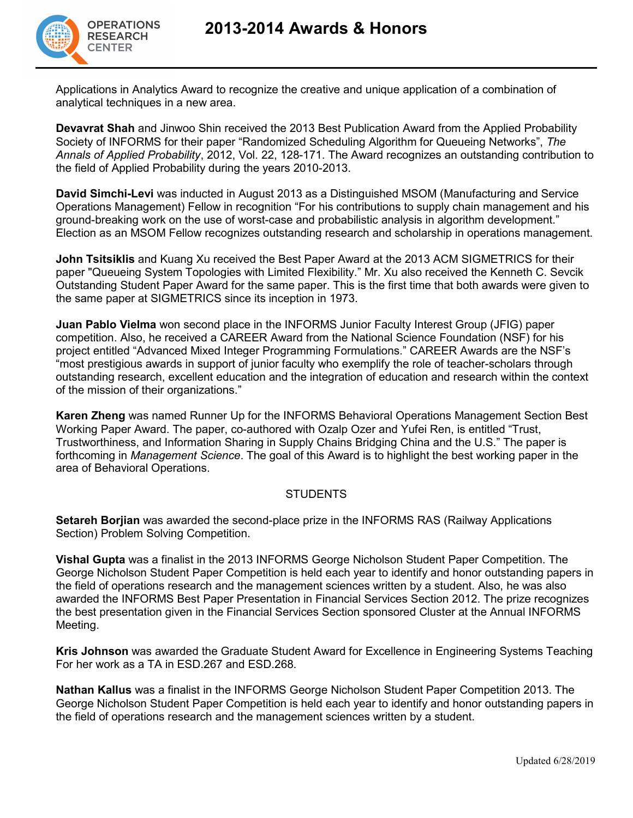## **2013-2014 Awards & Honors**



Applications in Analytics Award to recognize the creative and unique application of a combination of analytical techniques in a new area.

**Devavrat Shah** and Jinwoo Shin received the 2013 Best Publication Award from the Applied Probability Society of INFORMS for their paper "Randomized Scheduling Algorithm for Queueing Networks", *The Annals of Applied Probability*, 2012, Vol. 22, 128-171. The Award recognizes an outstanding contribution to the field of Applied Probability during the years 2010-2013.

**David Simchi-Levi** was inducted in August 2013 as a Distinguished MSOM (Manufacturing and Service Operations Management) Fellow in recognition "For his contributions to supply chain management and his ground-breaking work on the use of worst-case and probabilistic analysis in algorithm development." Election as an MSOM Fellow recognizes outstanding research and scholarship in operations management.

**John Tsitsiklis** and Kuang Xu received the Best Paper Award at the 2013 ACM SIGMETRICS for their paper "Queueing System Topologies with Limited Flexibility." Mr. Xu also received the Kenneth C. Sevcik Outstanding Student Paper Award for the same paper. This is the first time that both awards were given to the same paper at SIGMETRICS since its inception in 1973.

**Juan Pablo Vielma** won second place in the INFORMS Junior Faculty Interest Group (JFIG) paper competition. Also, he received a CAREER Award from the National Science Foundation (NSF) for his project entitled "Advanced Mixed Integer Programming Formulations." CAREER Awards are the NSF's "most prestigious awards in support of junior faculty who exemplify the role of teacher-scholars through outstanding research, excellent education and the integration of education and research within the context of the mission of their organizations."

**Karen Zheng** was named Runner Up for the INFORMS Behavioral Operations Management Section Best Working Paper Award. The paper, co-authored with Ozalp Ozer and Yufei Ren, is entitled "Trust, Trustworthiness, and Information Sharing in Supply Chains Bridging China and the U.S." The paper is forthcoming in *Management Science*. The goal of this Award is to highlight the best working paper in the area of Behavioral Operations.

#### **STUDENTS**

**Setareh Borjian** was awarded the second-place prize in the INFORMS RAS (Railway Applications Section) Problem Solving Competition.

**Vishal Gupta** was a finalist in the 2013 INFORMS George Nicholson Student Paper Competition. The George Nicholson Student Paper Competition is held each year to identify and honor outstanding papers in the field of operations research and the management sciences written by a student. Also, he was also awarded the INFORMS Best Paper Presentation in Financial Services Section 2012. The prize recognizes the best presentation given in the Financial Services Section sponsored Cluster at the Annual INFORMS Meeting.

**Kris Johnson** was awarded the Graduate Student Award for Excellence in Engineering Systems Teaching For her work as a TA in ESD.267 and ESD.268.

**Nathan Kallus** was a finalist in the INFORMS George Nicholson Student Paper Competition 2013. The George Nicholson Student Paper Competition is held each year to identify and honor outstanding papers in the field of operations research and the management sciences written by a student.